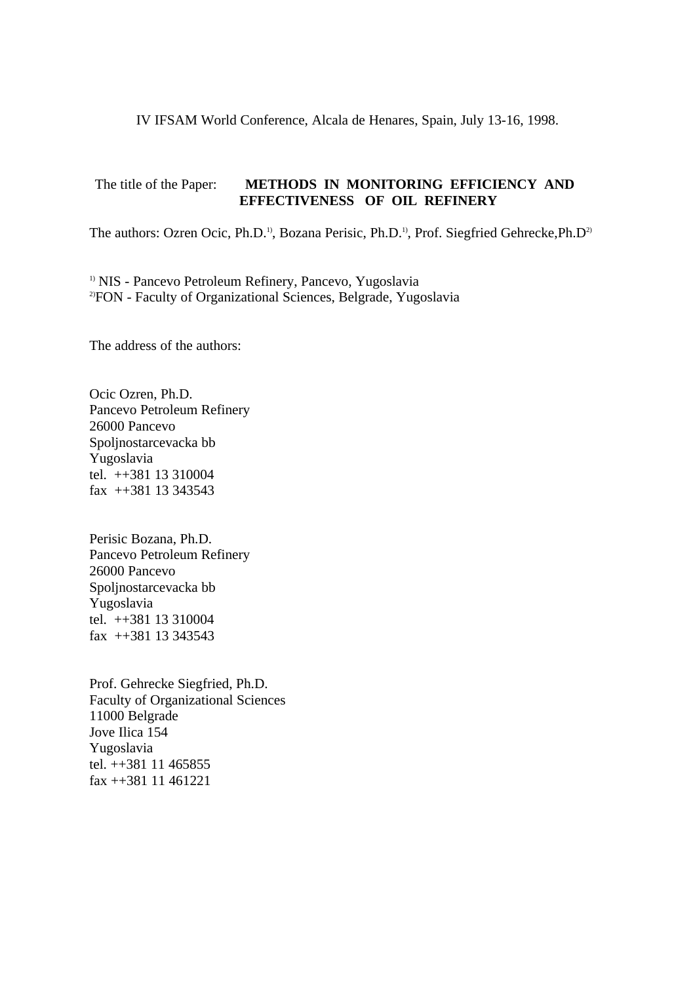IV IFSAM World Conference, Alcala de Henares, Spain, July 13-16, 1998.

## The title of the Paper: **METHODS IN MONITORING EFFICIENCY AND EFFECTIVENESS OF OIL REFINERY**

The authors: Ozren Ocic, Ph.D.<sup>1)</sup>, Bozana Perisic, Ph.D.<sup>1)</sup>, Prof. Siegfried Gehrecke, Ph.D<sup>2)</sup>

<sup>1)</sup> NIS - Pancevo Petroleum Refinery, Pancevo, Yugoslavia 2)FON - Faculty of Organizational Sciences, Belgrade, Yugoslavia

The address of the authors:

Ocic Ozren, Ph.D. Pancevo Petroleum Refinery 26000 Pancevo Spoljnostarcevacka bb Yugoslavia tel. ++381 13 310004 fax ++381 13 343543

Perisic Bozana, Ph.D. Pancevo Petroleum Refinery 26000 Pancevo Spoljnostarcevacka bb Yugoslavia tel. ++381 13 310004 fax ++381 13 343543

Prof. Gehrecke Siegfried, Ph.D. Faculty of Organizational Sciences 11000 Belgrade Jove Ilica 154 Yugoslavia tel. ++381 11 465855 fax ++381 11 461221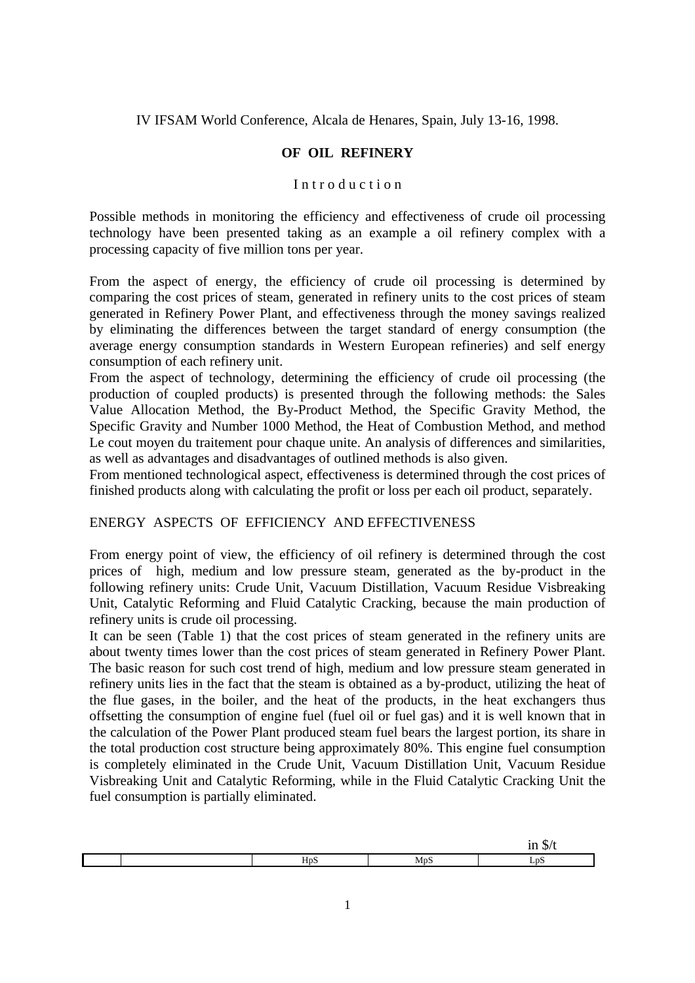IV IFSAM World Conference, Alcala de Henares, Spain, July 13-16, 1998.

### **OF OIL REFINERY**

#### Introduction

Possible methods in monitoring the efficiency and effectiveness of crude oil processing technology have been presented taking as an example a oil refinery complex with a processing capacity of five million tons per year.

From the aspect of energy, the efficiency of crude oil processing is determined by comparing the cost prices of steam, generated in refinery units to the cost prices of steam generated in Refinery Power Plant, and effectiveness through the money savings realized by eliminating the differences between the target standard of energy consumption (the average energy consumption standards in Western European refineries) and self energy consumption of each refinery unit.

From the aspect of technology, determining the efficiency of crude oil processing (the production of coupled products) is presented through the following methods: the Sales Value Allocation Method, the By-Product Method, the Specific Gravity Method, the Specific Gravity and Number 1000 Method, the Heat of Combustion Method, and method Le cout moyen du traitement pour chaque unite. An analysis of differences and similarities, as well as advantages and disadvantages of outlined methods is also given.

From mentioned technological aspect, effectiveness is determined through the cost prices of finished products along with calculating the profit or loss per each oil product, separately.

### ENERGY ASPECTS OF EFFICIENCY AND EFFECTIVENESS

From energy point of view, the efficiency of oil refinery is determined through the cost prices of high, medium and low pressure steam, generated as the by-product in the following refinery units: Crude Unit, Vacuum Distillation, Vacuum Residue Visbreaking Unit, Catalytic Reforming and Fluid Catalytic Cracking, because the main production of refinery units is crude oil processing.

It can be seen (Table 1) that the cost prices of steam generated in the refinery units are about twenty times lower than the cost prices of steam generated in Refinery Power Plant. The basic reason for such cost trend of high, medium and low pressure steam generated in refinery units lies in the fact that the steam is obtained as a by-product, utilizing the heat of the flue gases, in the boiler, and the heat of the products, in the heat exchangers thus offsetting the consumption of engine fuel (fuel oil or fuel gas) and it is well known that in the calculation of the Power Plant produced steam fuel bears the largest portion, its share in the total production cost structure being approximately 80%. This engine fuel consumption is completely eliminated in the Crude Unit, Vacuum Distillation Unit, Vacuum Residue Visbreaking Unit and Catalytic Reforming, while in the Fluid Catalytic Cracking Unit the fuel consumption is partially eliminated.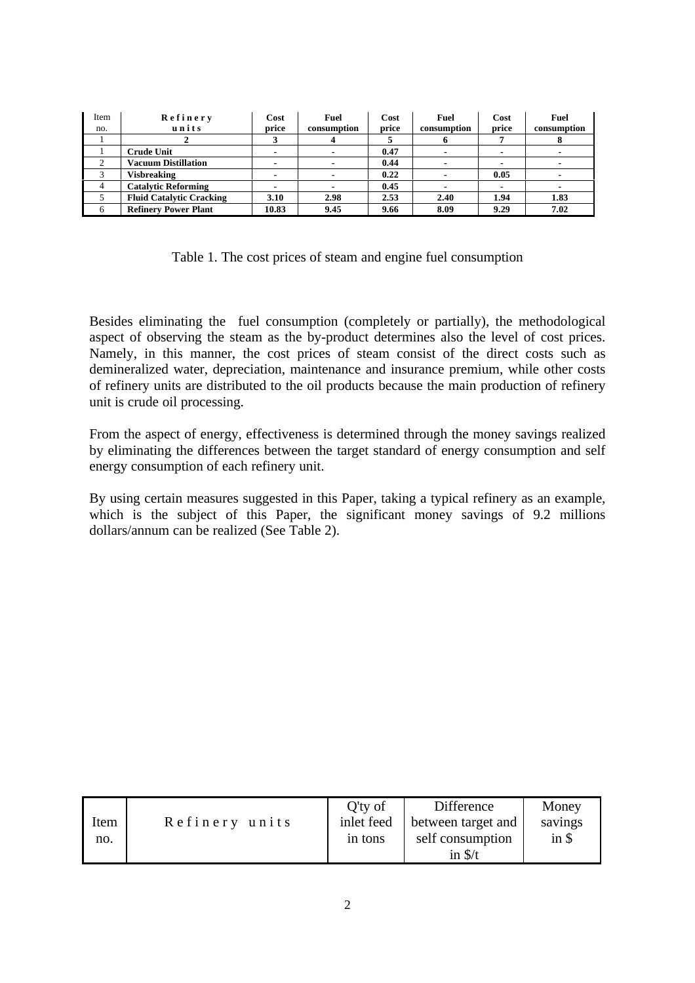| Item<br>no. | Refinery<br>units               | Cost<br>price | Fuel<br>consumption | Cost<br>price | Fuel<br>consumption | Cost<br>price | Fuel<br>consumption |
|-------------|---------------------------------|---------------|---------------------|---------------|---------------------|---------------|---------------------|
|             |                                 |               | 4                   |               |                     |               |                     |
|             | <b>Crude Unit</b>               |               |                     | 0.47          |                     |               |                     |
|             | <b>Vacuum Distillation</b>      |               |                     | 0.44          |                     |               |                     |
|             | <b>Visbreaking</b>              |               |                     | 0.22          |                     | 0.05          |                     |
| 4           | <b>Catalytic Reforming</b>      |               |                     | 0.45          |                     |               |                     |
|             | <b>Fluid Catalytic Cracking</b> | 3.10          | 2.98                | 2.53          | 2.40                | 1.94          | 1.83                |
| 6           | <b>Refinery Power Plant</b>     | 10.83         | 9.45                | 9.66          | 8.09                | 9.29          | 7.02                |

|  |  |  | Table 1. The cost prices of steam and engine fuel consumption |
|--|--|--|---------------------------------------------------------------|
|  |  |  |                                                               |

Besides eliminating the fuel consumption (completely or partially), the methodological aspect of observing the steam as the by-product determines also the level of cost prices. Namely, in this manner, the cost prices of steam consist of the direct costs such as demineralized water, depreciation, maintenance and insurance premium, while other costs of refinery units are distributed to the oil products because the main production of refinery unit is crude oil processing.

From the aspect of energy, effectiveness is determined through the money savings realized by eliminating the differences between the target standard of energy consumption and self energy consumption of each refinery unit.

By using certain measures suggested in this Paper, taking a typical refinery as an example, which is the subject of this Paper, the significant money savings of 9.2 millions dollars/annum can be realized (See Table 2).

| Item<br>no. | Refinery units | $Q'$ ty of<br>inlet feed<br>in tons | Difference<br>between target and<br>self consumption | Money<br>savings<br>$in$ \$ |
|-------------|----------------|-------------------------------------|------------------------------------------------------|-----------------------------|
|             |                |                                     | in $\frac{s}{t}$                                     |                             |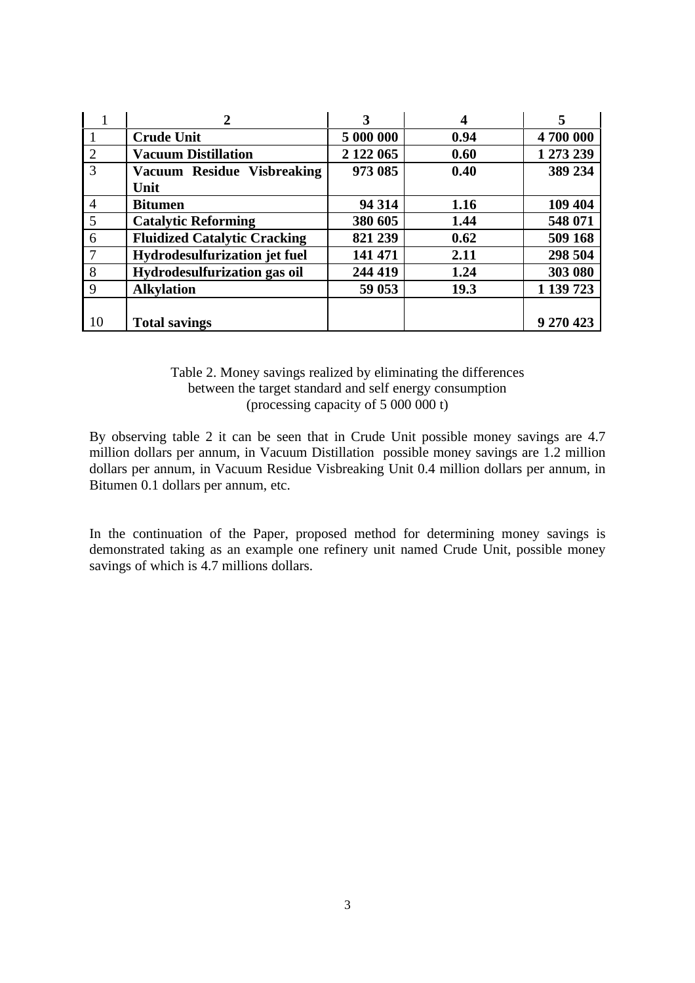|                |                                     | $\mathbf{3}$ | 4    | 5         |
|----------------|-------------------------------------|--------------|------|-----------|
|                | <b>Crude Unit</b>                   | 5 000 000    | 0.94 | 4700 000  |
| 2              | <b>Vacuum Distillation</b>          | 2 122 065    | 0.60 | 1 273 239 |
| 3              | Vacuum Residue Visbreaking          | 973 085      | 0.40 | 389 234   |
|                | Unit                                |              |      |           |
| $\overline{4}$ | <b>Bitumen</b>                      | 94 314       | 1.16 | 109 404   |
| 5              | <b>Catalytic Reforming</b>          | 380 605      | 1.44 | 548 071   |
| 6              | <b>Fluidized Catalytic Cracking</b> | 821 239      | 0.62 | 509 168   |
| 7              | Hydrodesulfurization jet fuel       | 141 471      | 2.11 | 298 504   |
| 8              | Hydrodesulfurization gas oil        | 244 419      | 1.24 | 303 080   |
| 9              | <b>Alkylation</b>                   | 59 053       | 19.3 | 1 139 723 |
|                |                                     |              |      |           |
| 10             | <b>Total savings</b>                |              |      | 9 270 423 |

### Table 2. Money savings realized by eliminating the differences between the target standard and self energy consumption (processing capacity of 5 000 000 t)

By observing table 2 it can be seen that in Crude Unit possible money savings are 4.7 million dollars per annum, in Vacuum Distillation possible money savings are 1.2 million dollars per annum, in Vacuum Residue Visbreaking Unit 0.4 million dollars per annum, in Bitumen 0.1 dollars per annum, etc.

In the continuation of the Paper, proposed method for determining money savings is demonstrated taking as an example one refinery unit named Crude Unit, possible money savings of which is 4.7 millions dollars.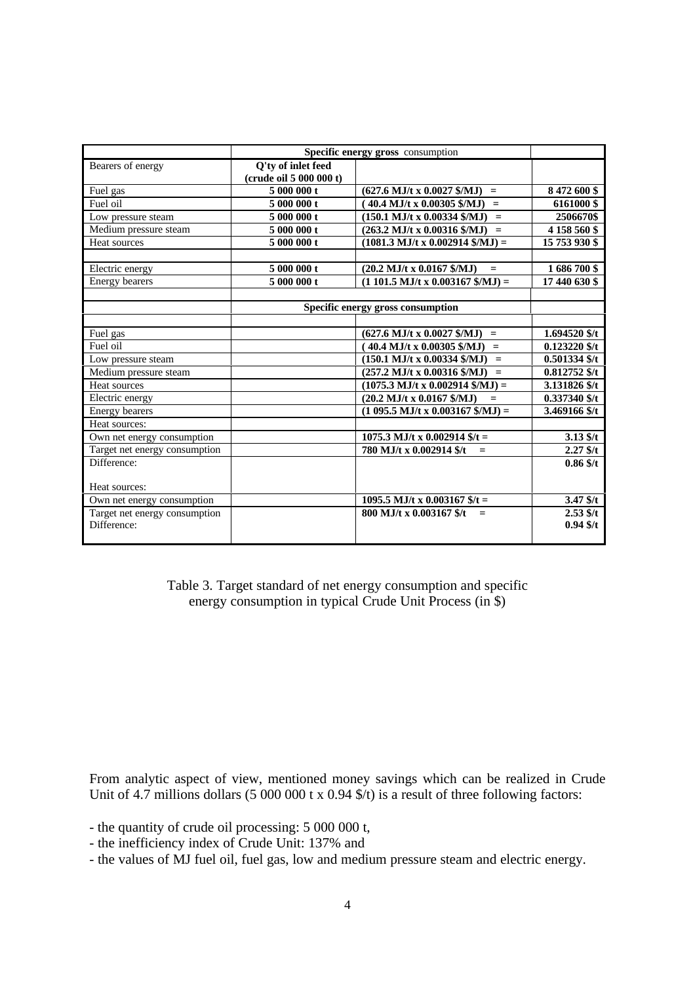|                               | Specific energy gross consumption |                                                                      |                 |
|-------------------------------|-----------------------------------|----------------------------------------------------------------------|-----------------|
| Bearers of energy             | <b>Q'ty of inlet feed</b>         |                                                                      |                 |
|                               | (crude oil 5 000 000 t)           |                                                                      |                 |
| Fuel gas                      | 5 000 000 t                       | $(627.6 \text{ MJ/t x } 0.0027 \text{ S/MJ}) =$                      | 8 472 600 \$    |
| Fuel oil                      | 5 000 000 t                       | $40.4$ MJ/t x 0.00305 \$/MJ)<br>$=$                                  | 6161000\$       |
| Low pressure steam            | 5 000 000 t                       | $(150.1$ MJ/t x 0.00334 \$/MJ)<br>$=$                                | 2506670\$       |
| Medium pressure steam         | 5 000 000 t                       | $(263.2 \text{ MJ/t x } 0.00316 \text{ $MJ)}$<br>$=$                 | 4 158 560 \$    |
| Heat sources                  | 5 000 000 t                       | $(1081.3$ MJ/t x 0.002914 \$/MJ) =                                   | 15 753 930 \$   |
|                               |                                   |                                                                      |                 |
| Electric energy               | 5 000 000 t                       | $(20.2 \text{ MJ/t x } 0.0167 \text{ $M_J$})$<br>$\equiv$            | 1686700\$       |
| <b>Energy bearers</b>         | 5 000 000 t                       | $(1 101.5$ MJ/t x 0.003167 \$/MJ) =                                  | 17 440 630 \$   |
|                               |                                   |                                                                      |                 |
|                               |                                   | Specific energy gross consumption                                    |                 |
|                               |                                   |                                                                      |                 |
| Fuel gas                      |                                   | $(627.6 \text{ MJ/t x } 0.0027 \text{ \textsterling} / \text{MJ})$ = | 1.694520 \$/t   |
| Fuel oil                      |                                   | $(40.4$ MJ/t x 0.00305 \$/MJ)<br>$\equiv$                            | $0.123220$ \$/t |
| Low pressure steam            |                                   | $(150.1$ MJ/t x 0.00334 \$/MJ)<br>$=$                                | $0.501334$ \$/t |
| Medium pressure steam         |                                   | $(257.2 \text{ MJ/t x } 0.00316 \text{ \$/MJ})$ =                    | $0.812752$ \$/t |
| Heat sources                  |                                   | $(1075.3 \text{ MJ/t x } 0.002914 \text{ S/MJ}) =$                   | 3.131826 \$/t   |
| Electric energy               |                                   | $(20.2$ MJ/t x 0.0167 \$/MJ)<br>$=$                                  | $0.337340$ \$/t |
| <b>Energy</b> bearers         |                                   | $(1.095.5 \text{ MJ/t x } 0.003167 \text{ S/MJ}) =$                  | 3.469166 \$/t   |
| Heat sources:                 |                                   |                                                                      |                 |
| Own net energy consumption    |                                   | 1075.3 MJ/t x 0.002914 $f/t =$                                       | $3.13$ \$/t     |
| Target net energy consumption |                                   | 780 MJ/t x 0.002914 \$/t<br>$=$                                      | $2.27$ \$/t     |
| Difference:                   |                                   |                                                                      | $0.86$ \$/t     |
|                               |                                   |                                                                      |                 |
| Heat sources:                 |                                   |                                                                      |                 |
| Own net energy consumption    |                                   | 1095.5 MJ/t x 0.003167 $$/t =$                                       | $3.47$ \$/t     |
| Target net energy consumption |                                   | 800 MJ/t x 0.003167 \$/t                                             | $2.53$ \$/t     |
| Difference:                   |                                   |                                                                      | $0.94$ \$/t     |
|                               |                                   |                                                                      |                 |

Table 3. Target standard of net energy consumption and specific energy consumption in typical Crude Unit Process (in \$)

From analytic aspect of view, mentioned money savings which can be realized in Crude Unit of 4.7 millions dollars  $(5\ 000\ 000 \text{ t x } 0.94 \text{ s/t})$  is a result of three following factors:

- the quantity of crude oil processing: 5 000 000 t,

- the inefficiency index of Crude Unit: 137% and
- the values of MJ fuel oil, fuel gas, low and medium pressure steam and electric energy.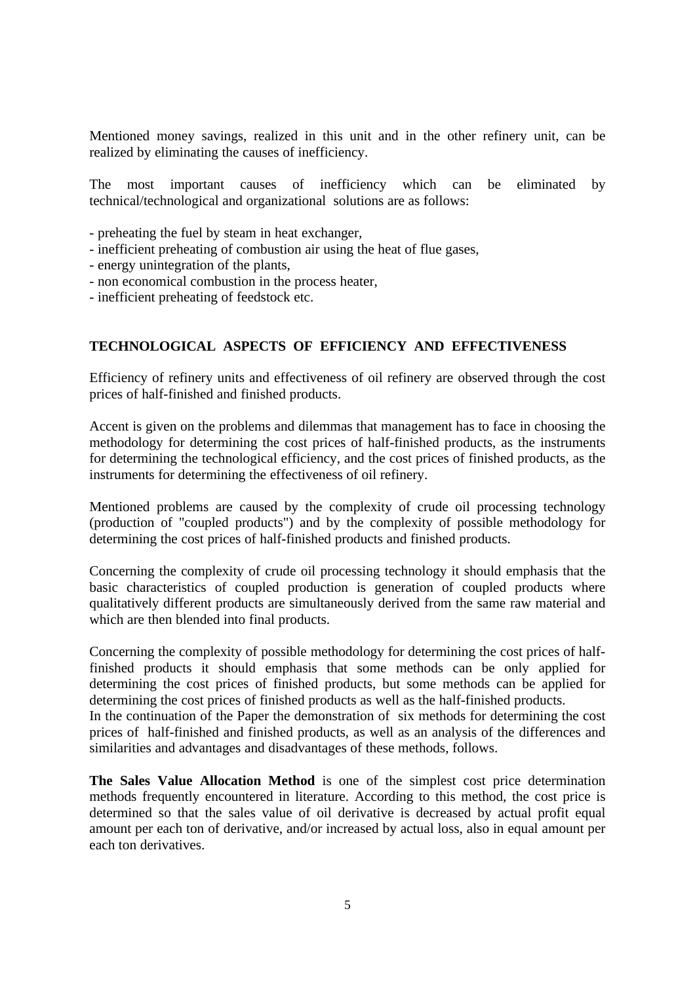Mentioned money savings, realized in this unit and in the other refinery unit, can be realized by eliminating the causes of inefficiency.

The most important causes of inefficiency which can be eliminated by technical/technological and organizational solutions are as follows:

- preheating the fuel by steam in heat exchanger,

- inefficient preheating of combustion air using the heat of flue gases,
- energy unintegration of the plants,
- non economical combustion in the process heater,
- inefficient preheating of feedstock etc.

### **TECHNOLOGICAL ASPECTS OF EFFICIENCY AND EFFECTIVENESS**

Efficiency of refinery units and effectiveness of oil refinery are observed through the cost prices of half-finished and finished products.

Accent is given on the problems and dilemmas that management has to face in choosing the methodology for determining the cost prices of half-finished products, as the instruments for determining the technological efficiency, and the cost prices of finished products, as the instruments for determining the effectiveness of oil refinery.

Mentioned problems are caused by the complexity of crude oil processing technology (production of "coupled products") and by the complexity of possible methodology for determining the cost prices of half-finished products and finished products.

Concerning the complexity of crude oil processing technology it should emphasis that the basic characteristics of coupled production is generation of coupled products where qualitatively different products are simultaneously derived from the same raw material and which are then blended into final products.

Concerning the complexity of possible methodology for determining the cost prices of halffinished products it should emphasis that some methods can be only applied for determining the cost prices of finished products, but some methods can be applied for determining the cost prices of finished products as well as the half-finished products.

In the continuation of the Paper the demonstration of six methods for determining the cost prices of half-finished and finished products, as well as an analysis of the differences and similarities and advantages and disadvantages of these methods, follows.

**The Sales Value Allocation Method** is one of the simplest cost price determination methods frequently encountered in literature. According to this method, the cost price is determined so that the sales value of oil derivative is decreased by actual profit equal amount per each ton of derivative, and/or increased by actual loss, also in equal amount per each ton derivatives.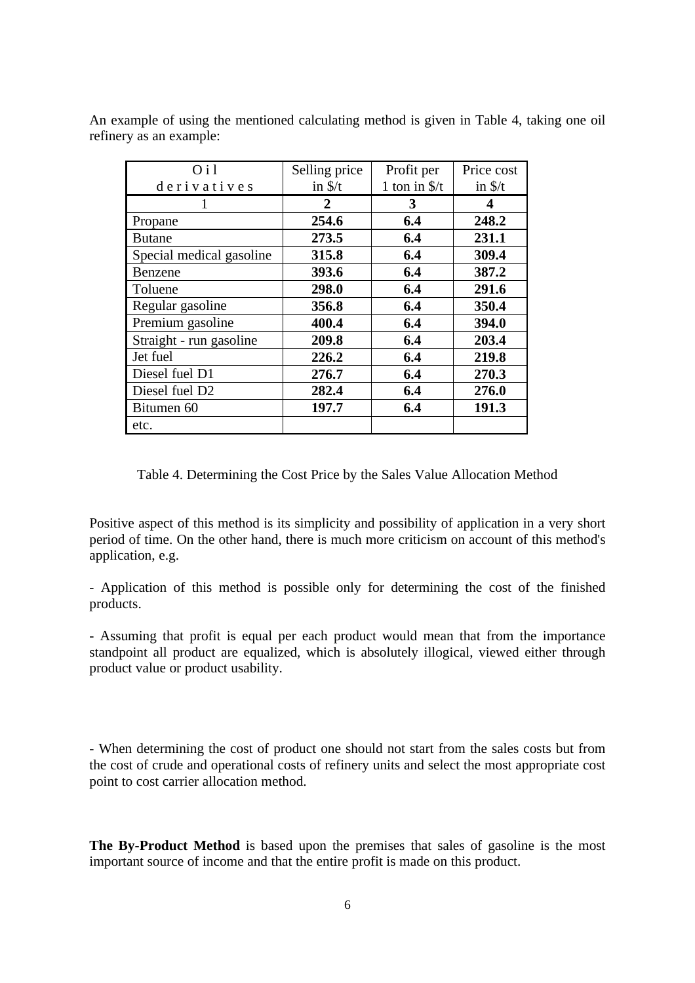| O <sub>11</sub>            | Selling price    | Profit per             | Price cost       |
|----------------------------|------------------|------------------------|------------------|
| derivatives                | in $\frac{s}{t}$ | 1 ton in $\frac{f}{f}$ | in $\frac{s}{t}$ |
| 1                          | 2                | 3                      | 4                |
| Propane                    | 254.6            | 6.4                    | 248.2            |
| <b>Butane</b>              | 273.5            | 6.4                    | 231.1            |
| Special medical gasoline   | 315.8            | 6.4                    | 309.4            |
| Benzene                    | 393.6            | 6.4                    | 387.2            |
| Toluene                    | 298.0            | 6.4                    | 291.6            |
| Regular gasoline           | 356.8            | 6.4                    | 350.4            |
| Premium gasoline           | 400.4            | 6.4                    | 394.0            |
| Straight - run gasoline    | 209.8            | 6.4                    | 203.4            |
| Jet fuel                   | 226.2            | 6.4                    | 219.8            |
| Diesel fuel D1             | 276.7            | 6.4                    | 270.3            |
| Diesel fuel D <sub>2</sub> | 282.4            | 6.4                    | 276.0            |
| Bitumen 60                 | 197.7            | 6.4                    | 191.3            |
| etc.                       |                  |                        |                  |

An example of using the mentioned calculating method is given in Table 4, taking one oil refinery as an example:

Table 4. Determining the Cost Price by the Sales Value Allocation Method

Positive aspect of this method is its simplicity and possibility of application in a very short period of time. On the other hand, there is much more criticism on account of this method's application, e.g.

- Application of this method is possible only for determining the cost of the finished products.

- Assuming that profit is equal per each product would mean that from the importance standpoint all product are equalized, which is absolutely illogical, viewed either through product value or product usability.

- When determining the cost of product one should not start from the sales costs but from the cost of crude and operational costs of refinery units and select the most appropriate cost point to cost carrier allocation method.

**The By-Product Method** is based upon the premises that sales of gasoline is the most important source of income and that the entire profit is made on this product.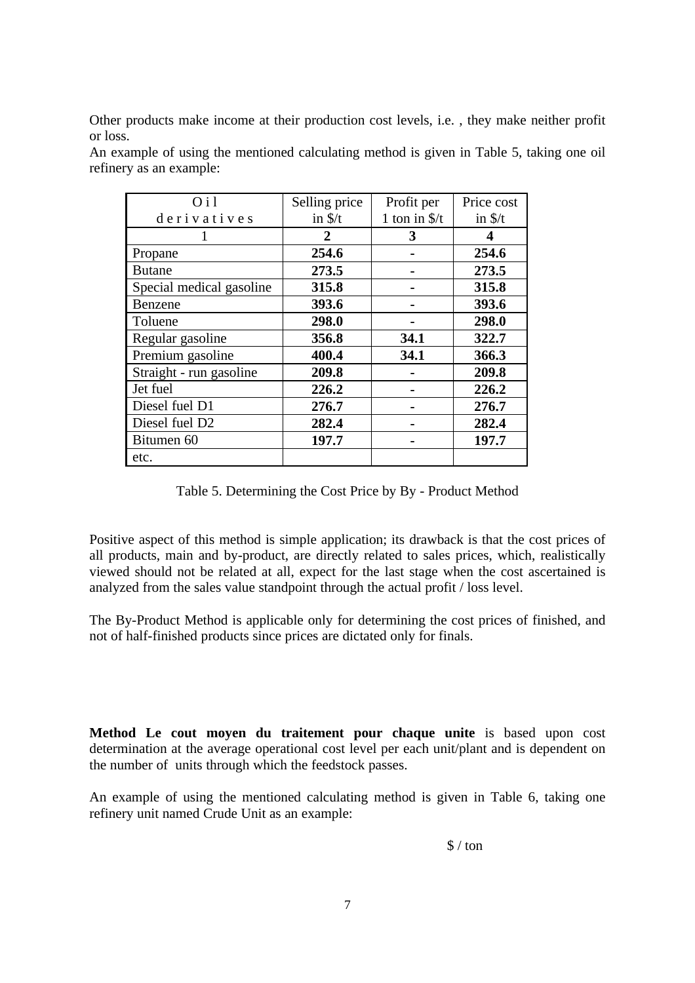Other products make income at their production cost levels, i.e. , they make neither profit or loss.

| O <sub>11</sub>          | Selling price    | Profit per             | Price cost       |
|--------------------------|------------------|------------------------|------------------|
| derivatives              | in $\frac{s}{t}$ | 1 ton in $\frac{f}{f}$ | in $\frac{s}{t}$ |
|                          | 2                | 3                      |                  |
| Propane                  | 254.6            |                        | 254.6            |
| <b>Butane</b>            | 273.5            |                        | 273.5            |
| Special medical gasoline | 315.8            |                        | 315.8            |
| Benzene                  | 393.6            |                        | 393.6            |
| Toluene                  | 298.0            |                        | 298.0            |
| Regular gasoline         | 356.8            | 34.1                   | 322.7            |
| Premium gasoline         | 400.4            | 34.1                   | 366.3            |
| Straight - run gasoline  | 209.8            |                        | 209.8            |
| Jet fuel                 | 226.2            |                        | 226.2            |
| Diesel fuel D1           | 276.7            |                        | 276.7            |
| Diesel fuel D2           | 282.4            |                        | 282.4            |
| Bitumen 60               | 197.7            |                        | 197.7            |
| etc.                     |                  |                        |                  |

An example of using the mentioned calculating method is given in Table 5, taking one oil refinery as an example:

Table 5. Determining the Cost Price by By - Product Method

Positive aspect of this method is simple application; its drawback is that the cost prices of all products, main and by-product, are directly related to sales prices, which, realistically viewed should not be related at all, expect for the last stage when the cost ascertained is analyzed from the sales value standpoint through the actual profit / loss level.

The By-Product Method is applicable only for determining the cost prices of finished, and not of half-finished products since prices are dictated only for finals.

**Method Le cout moyen du traitement pour chaque unite** is based upon cost determination at the average operational cost level per each unit/plant and is dependent on the number of units through which the feedstock passes.

An example of using the mentioned calculating method is given in Table 6, taking one refinery unit named Crude Unit as an example:

 $\frac{1}{2}$  / ton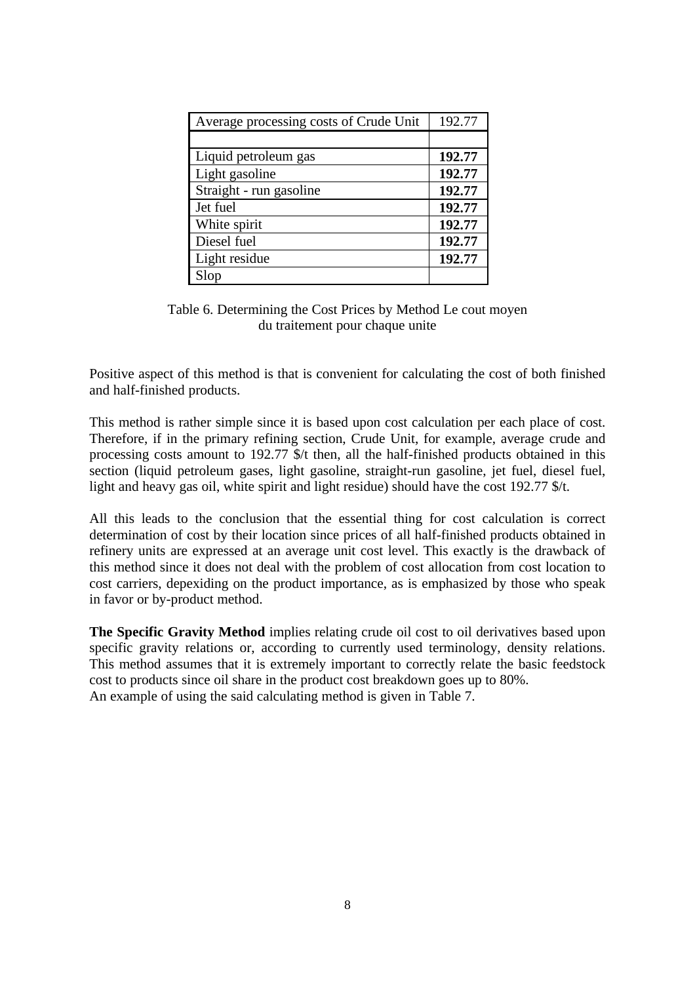| Average processing costs of Crude Unit | 192.77 |
|----------------------------------------|--------|
|                                        |        |
| Liquid petroleum gas                   | 192.77 |
| Light gasoline                         | 192.77 |
| Straight - run gasoline                | 192.77 |
| Jet fuel                               | 192.77 |
| White spirit                           | 192.77 |
| Diesel fuel                            | 192.77 |
| Light residue                          | 192.77 |
| Slop                                   |        |

Table 6. Determining the Cost Prices by Method Le cout moyen du traitement pour chaque unite

Positive aspect of this method is that is convenient for calculating the cost of both finished and half-finished products.

This method is rather simple since it is based upon cost calculation per each place of cost. Therefore, if in the primary refining section, Crude Unit, for example, average crude and processing costs amount to 192.77 \$/t then, all the half-finished products obtained in this section (liquid petroleum gases, light gasoline, straight-run gasoline, jet fuel, diesel fuel, light and heavy gas oil, white spirit and light residue) should have the cost 192.77 \$/t.

All this leads to the conclusion that the essential thing for cost calculation is correct determination of cost by their location since prices of all half-finished products obtained in refinery units are expressed at an average unit cost level. This exactly is the drawback of this method since it does not deal with the problem of cost allocation from cost location to cost carriers, depexiding on the product importance, as is emphasized by those who speak in favor or by-product method.

**The Specific Gravity Method** implies relating crude oil cost to oil derivatives based upon specific gravity relations or, according to currently used terminology, density relations. This method assumes that it is extremely important to correctly relate the basic feedstock cost to products since oil share in the product cost breakdown goes up to 80%. An example of using the said calculating method is given in Table 7.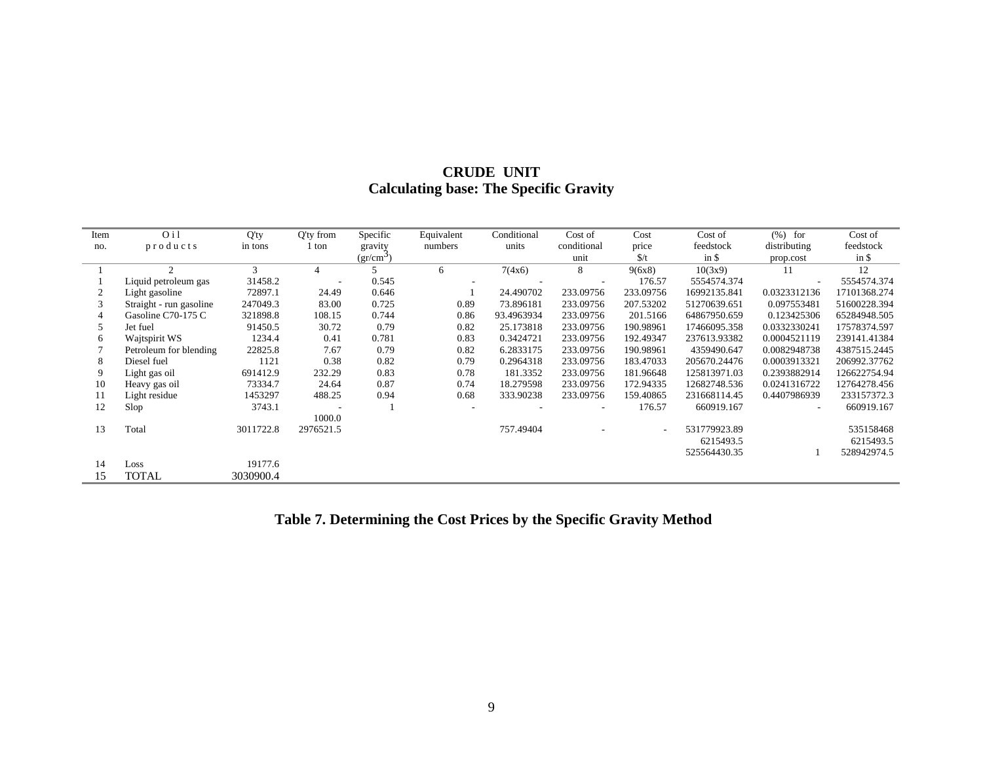| <b>CRUDE UNIT</b>                             |
|-----------------------------------------------|
| <b>Calculating base: The Specific Gravity</b> |

| Item | O <sub>i</sub> 1        | $Q'$ ty   | Q'ty from | Specific       | Equivalent | Conditional | Cost of                  | Cost                     | Cost of      | $(\% )$ for              | Cost of      |
|------|-------------------------|-----------|-----------|----------------|------------|-------------|--------------------------|--------------------------|--------------|--------------------------|--------------|
| no.  | products                | in tons   | 1 ton     | gravity        | numbers    | units       | conditional              | price                    | feedstock    | distributing             | feedstock    |
|      |                         |           |           |                |            |             |                          | $\frac{f}{f}$            | in \$        |                          | $in$ \$      |
|      |                         |           |           | $(gr/cm^{-1})$ |            |             | unit                     |                          |              | prop.cost                |              |
|      | 2                       | 3         |           |                | 6          | 7(4x6)      | 8                        | 9(6x8)                   | 10(3x9)      | 11                       | 12           |
|      | Liquid petroleum gas    | 31458.2   |           | 0.545          | $\sim$     |             |                          | 176.57                   | 5554574.374  | $\overline{\phantom{a}}$ | 5554574.374  |
|      | Light gasoline          | 72897.1   | 24.49     | 0.646          |            | 24.490702   | 233.09756                | 233.09756                | 16992135.841 | 0.0323312136             | 17101368.274 |
|      | Straight - run gasoline | 247049.3  | 83.00     | 0.725          | 0.89       | 73.896181   | 233.09756                | 207.53202                | 51270639.651 | 0.097553481              | 51600228.394 |
|      | Gasoline C70-175 C      | 321898.8  | 108.15    | 0.744          | 0.86       | 93.4963934  | 233.09756                | 201.5166                 | 64867950.659 | 0.123425306              | 65284948.505 |
| 5    | Jet fuel                | 91450.5   | 30.72     | 0.79           | 0.82       | 25.173818   | 233.09756                | 190.98961                | 17466095.358 | 0.0332330241             | 17578374.597 |
| 6    | Wajtspirit WS           | 1234.4    | 0.41      | 0.781          | 0.83       | 0.3424721   | 233.09756                | 192.49347                | 237613.93382 | 0.0004521119             | 239141.41384 |
|      | Petroleum for blending  | 22825.8   | 7.67      | 0.79           | 0.82       | 6.2833175   | 233.09756                | 190.98961                | 4359490.647  | 0.0082948738             | 4387515.2445 |
| 8    | Diesel fuel             | 1121      | 0.38      | 0.82           | 0.79       | 0.2964318   | 233.09756                | 183.47033                | 205670.24476 | 0.0003913321             | 206992.37762 |
| 9    | Light gas oil           | 691412.9  | 232.29    | 0.83           | 0.78       | 181.3352    | 233.09756                | 181.96648                | 125813971.03 | 0.2393882914             | 126622754.94 |
| 10   | Heavy gas oil           | 73334.7   | 24.64     | 0.87           | 0.74       | 18.279598   | 233.09756                | 172.94335                | 12682748.536 | 0.0241316722             | 12764278.456 |
| 11   | Light residue           | 1453297   | 488.25    | 0.94           | 0.68       | 333.90238   | 233.09756                | 159.40865                | 231668114.45 | 0.4407986939             | 233157372.3  |
| 12   | Slop                    | 3743.1    |           |                |            |             | $\overline{\phantom{a}}$ | 176.57                   | 660919.167   | $\overline{\phantom{a}}$ | 660919.167   |
|      |                         |           | 1000.0    |                |            |             |                          |                          |              |                          |              |
| 13   | Total                   | 3011722.8 | 2976521.5 |                |            | 757.49404   |                          | $\overline{\phantom{a}}$ | 531779923.89 |                          | 535158468    |
|      |                         |           |           |                |            |             |                          |                          | 6215493.5    |                          | 6215493.5    |
|      |                         |           |           |                |            |             |                          |                          | 525564430.35 |                          | 528942974.5  |
| 14   | Loss                    | 19177.6   |           |                |            |             |                          |                          |              |                          |              |
| 15   | TOTAL                   | 3030900.4 |           |                |            |             |                          |                          |              |                          |              |

**Table 7. Determining the Cost Prices by the Specific Gravity Method**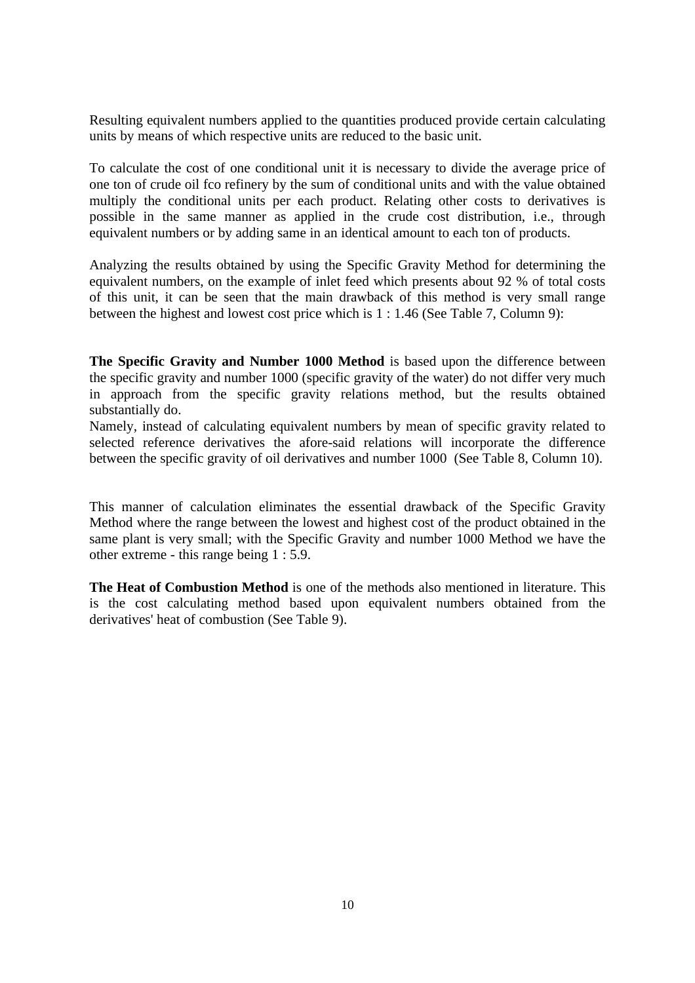Resulting equivalent numbers applied to the quantities produced provide certain calculating units by means of which respective units are reduced to the basic unit.

To calculate the cost of one conditional unit it is necessary to divide the average price of one ton of crude oil fco refinery by the sum of conditional units and with the value obtained multiply the conditional units per each product. Relating other costs to derivatives is possible in the same manner as applied in the crude cost distribution, i.e., through equivalent numbers or by adding same in an identical amount to each ton of products.

Analyzing the results obtained by using the Specific Gravity Method for determining the equivalent numbers, on the example of inlet feed which presents about 92 % of total costs of this unit, it can be seen that the main drawback of this method is very small range between the highest and lowest cost price which is 1 : 1.46 (See Table 7, Column 9):

**The Specific Gravity and Number 1000 Method** is based upon the difference between the specific gravity and number 1000 (specific gravity of the water) do not differ very much in approach from the specific gravity relations method, but the results obtained substantially do.

Namely, instead of calculating equivalent numbers by mean of specific gravity related to selected reference derivatives the afore-said relations will incorporate the difference between the specific gravity of oil derivatives and number 1000 (See Table 8, Column 10).

This manner of calculation eliminates the essential drawback of the Specific Gravity Method where the range between the lowest and highest cost of the product obtained in the same plant is very small; with the Specific Gravity and number 1000 Method we have the other extreme - this range being 1 : 5.9.

**The Heat of Combustion Method** is one of the methods also mentioned in literature. This is the cost calculating method based upon equivalent numbers obtained from the derivatives' heat of combustion (See Table 9).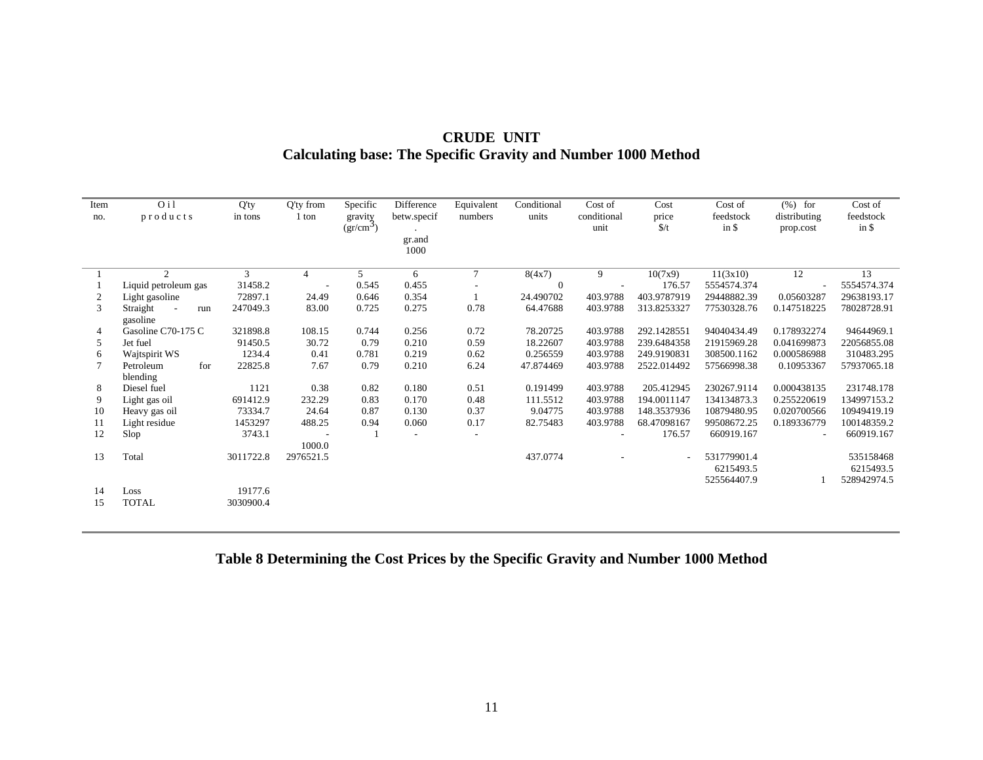| Item<br>no. | O <sub>i</sub> 1<br>products | $Q'$ ty<br>in tons | Q'ty from<br>1 ton | Specific<br>gravity<br>$(gr/cm^3)$ | Difference<br>betw.specif | Equivalent<br>numbers    | Conditional<br>units | Cost of<br>conditional<br>unit | Cost<br>price<br>$\frac{f}{f}$ | Cost of<br>feedstock<br>$in$ \$         | $(\%)$ for<br>distributing<br>prop.cost | Cost of<br>feedstock<br>in $\frac{1}{2}$ |
|-------------|------------------------------|--------------------|--------------------|------------------------------------|---------------------------|--------------------------|----------------------|--------------------------------|--------------------------------|-----------------------------------------|-----------------------------------------|------------------------------------------|
|             |                              |                    |                    |                                    | gr.and<br>1000            |                          |                      |                                |                                |                                         |                                         |                                          |
|             | $\mathfrak{D}$               | 3                  | $\overline{4}$     | .5                                 | 6                         | $\tau$                   | 8(4x7)               | 9                              | 10(7x9)                        | 11(3x10)                                | 12                                      | 13                                       |
|             | Liquid petroleum gas         | 31458.2            |                    | 0.545                              | 0.455                     |                          | $\theta$             |                                | 176.57                         | 5554574.374                             |                                         | 5554574.374                              |
| 2           | Light gasoline               | 72897.1            | 24.49              | 0.646                              | 0.354                     |                          | 24.490702            | 403.9788                       | 403.9787919                    | 29448882.39                             | 0.05603287                              | 29638193.17                              |
| 3           | Straight<br>run<br>gasoline  | 247049.3           | 83.00              | 0.725                              | 0.275                     | 0.78                     | 64.47688             | 403.9788                       | 313.8253327                    | 77530328.76                             | 0.147518225                             | 78028728.91                              |
| 4           | Gasoline C70-175 C           | 321898.8           | 108.15             | 0.744                              | 0.256                     | 0.72                     | 78.20725             | 403.9788                       | 292.1428551                    | 94040434.49                             | 0.178932274                             | 94644969.1                               |
| 5           | Jet fuel                     | 91450.5            | 30.72              | 0.79                               | 0.210                     | 0.59                     | 18.22607             | 403.9788                       | 239.6484358                    | 21915969.28                             | 0.041699873                             | 22056855.08                              |
| 6           | Wajtspirit WS                | 1234.4             | 0.41               | 0.781                              | 0.219                     | 0.62                     | 0.256559             | 403.9788                       | 249.9190831                    | 308500.1162                             | 0.000586988                             | 310483.295                               |
|             | for<br>Petroleum<br>blending | 22825.8            | 7.67               | 0.79                               | 0.210                     | 6.24                     | 47.874469            | 403.9788                       | 2522.014492                    | 57566998.38                             | 0.10953367                              | 57937065.18                              |
| 8           | Diesel fuel                  | 1121               | 0.38               | 0.82                               | 0.180                     | 0.51                     | 0.191499             | 403.9788                       | 205.412945                     | 230267.9114                             | 0.000438135                             | 231748.178                               |
| 9           | Light gas oil                | 691412.9           | 232.29             | 0.83                               | 0.170                     | 0.48                     | 111.5512             | 403.9788                       | 194.0011147                    | 134134873.3                             | 0.255220619                             | 134997153.2                              |
| 10          | Heavy gas oil                | 73334.7            | 24.64              | 0.87                               | 0.130                     | 0.37                     | 9.04775              | 403.9788                       | 148.3537936                    | 10879480.95                             | 0.020700566                             | 10949419.19                              |
| 11          | Light residue                | 1453297            | 488.25             | 0.94                               | 0.060                     | 0.17                     | 82.75483             | 403.9788                       | 68.47098167                    | 99508672.25                             | 0.189336779                             | 100148359.2                              |
| 12          | Slop                         | 3743.1             | 1000.0             |                                    |                           | $\overline{\phantom{a}}$ |                      |                                | 176.57                         | 660919.167                              | $\overline{\phantom{a}}$                | 660919.167                               |
| 13          | Total                        | 3011722.8          | 2976521.5          |                                    |                           |                          | 437.0774             |                                |                                | 531779901.4<br>6215493.5<br>525564407.9 |                                         | 535158468<br>6215493.5<br>528942974.5    |
| 14          | Loss                         | 19177.6            |                    |                                    |                           |                          |                      |                                |                                |                                         |                                         |                                          |
| 15          | <b>TOTAL</b>                 | 3030900.4          |                    |                                    |                           |                          |                      |                                |                                |                                         |                                         |                                          |

# **CRUDE UNIT Calculating base: The Specific Gravity and Number 1000 Method**

# **Table 8 Determining the Cost Prices by the Specific Gravity and Number 1000 Method**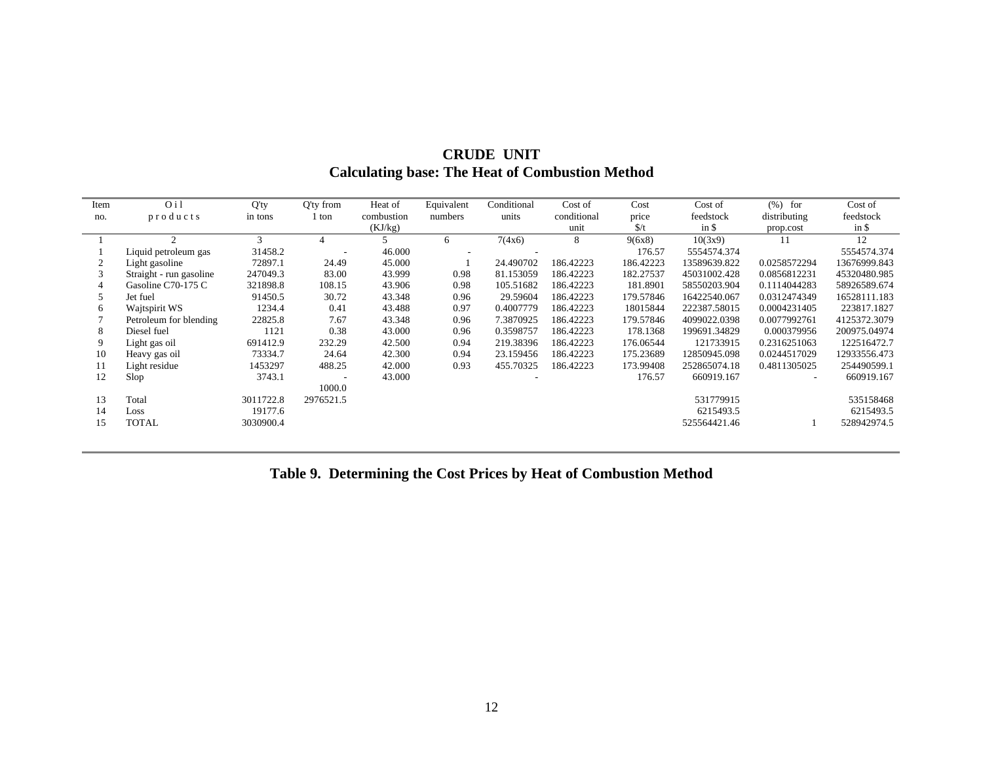| Item | O <sub>i</sub>          | Q'ty      | Q'ty from | Heat of    | Equivalent | Conditional | Cost of     | Cost          | Cost of      | $(\% )$<br>for | Cost of      |
|------|-------------------------|-----------|-----------|------------|------------|-------------|-------------|---------------|--------------|----------------|--------------|
| no.  | products                | in tons   | ton       | combustion | numbers    | units       | conditional | price         | feedstock    | distributing   | feedstock    |
|      |                         |           |           | (KJ/kg)    |            |             | unit        | $\frac{f}{f}$ | in \$        | prop.cost      | in \$        |
|      |                         | 3         |           |            | 6          | 7(4x6)      | 8           | 9(6x8)        | 10(3x9)      | 11             | 12           |
|      | Liquid petroleum gas    | 31458.2   |           | 46.000     |            |             |             | 176.57        | 5554574.374  |                | 5554574.374  |
|      | Light gasoline          | 72897.1   | 24.49     | 45.000     |            | 24.490702   | 186.42223   | 186.42223     | 13589639.822 | 0.0258572294   | 13676999.843 |
|      | Straight - run gasoline | 247049.3  | 83.00     | 43.999     | 0.98       | 81.153059   | 186.42223   | 182.27537     | 45031002.428 | 0.0856812231   | 45320480.985 |
|      | Gasoline C70-175 C      | 321898.8  | 108.15    | 43.906     | 0.98       | 105.51682   | 186.42223   | 181.8901      | 58550203.904 | 0.1114044283   | 58926589.674 |
|      | Jet fuel                | 91450.5   | 30.72     | 43.348     | 0.96       | 29.59604    | 186.42223   | 179.57846     | 16422540.067 | 0.0312474349   | 16528111.183 |
| 6    | Wajtspirit WS           | 1234.4    | 0.41      | 43.488     | 0.97       | 0.4007779   | 186.42223   | 18015844      | 222387.58015 | 0.0004231405   | 223817.1827  |
|      | Petroleum for blending  | 22825.8   | 7.67      | 43.348     | 0.96       | 7.3870925   | 186.42223   | 179.57846     | 4099022.0398 | 0.0077992761   | 4125372.3079 |
| 8    | Diesel fuel             | 1121      | 0.38      | 43.000     | 0.96       | 0.3598757   | 186.42223   | 178.1368      | 199691.34829 | 0.000379956    | 200975.04974 |
| 9    | Light gas oil           | 691412.9  | 232.29    | 42.500     | 0.94       | 219.38396   | 186.42223   | 176.06544     | 121733915    | 0.2316251063   | 122516472.7  |
| 10   | Heavy gas oil           | 73334.7   | 24.64     | 42.300     | 0.94       | 23.159456   | 186.42223   | 175.23689     | 12850945.098 | 0.0244517029   | 12933556.473 |
| 11   | Light residue           | 1453297   | 488.25    | 42.000     | 0.93       | 455.70325   | 186.42223   | 173.99408     | 252865074.18 | 0.4811305025   | 254490599.1  |
| 12   | Slop                    | 3743.1    |           | 43.000     |            |             |             | 176.57        | 660919.167   |                | 660919.167   |
|      |                         |           | 1000.0    |            |            |             |             |               |              |                |              |
| 13   | Total                   | 3011722.8 | 2976521.5 |            |            |             |             |               | 531779915    |                | 535158468    |
| 14   | Loss                    | 19177.6   |           |            |            |             |             |               | 6215493.5    |                | 6215493.5    |
| 15   | <b>TOTAL</b>            | 3030900.4 |           |            |            |             |             |               | 525564421.46 |                | 528942974.5  |
|      |                         |           |           |            |            |             |             |               |              |                |              |

## **CRUDE UNIT Calculating base: The Heat of Combustion Method**

# **Table 9. Determining the Cost Prices by Heat of Combustion Method**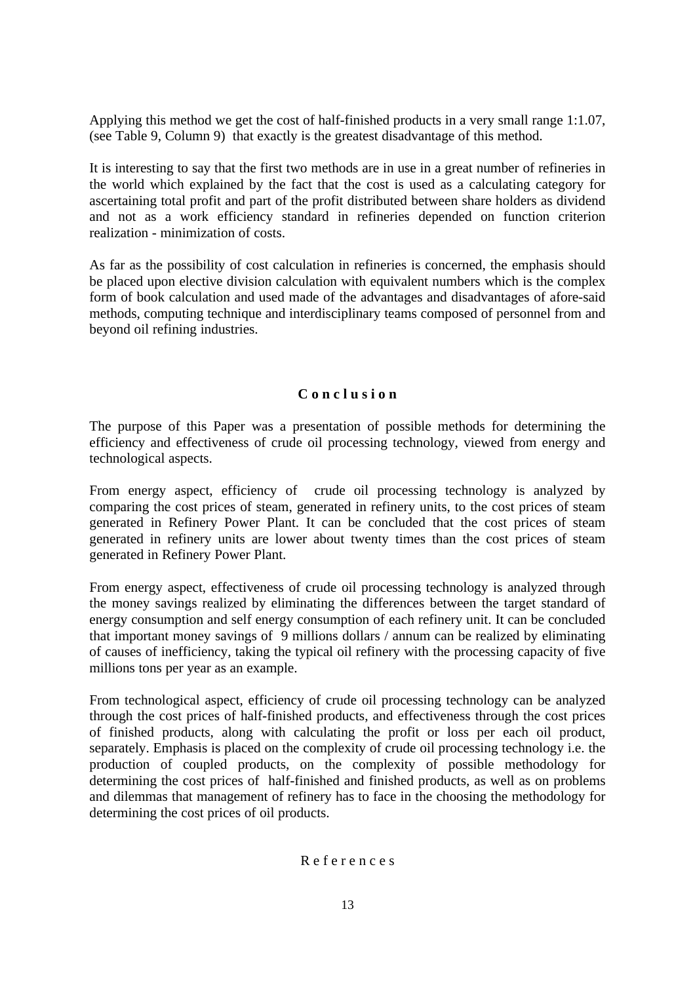Applying this method we get the cost of half-finished products in a very small range 1:1.07, (see Table 9, Column 9) that exactly is the greatest disadvantage of this method.

It is interesting to say that the first two methods are in use in a great number of refineries in the world which explained by the fact that the cost is used as a calculating category for ascertaining total profit and part of the profit distributed between share holders as dividend and not as a work efficiency standard in refineries depended on function criterion realization - minimization of costs.

As far as the possibility of cost calculation in refineries is concerned, the emphasis should be placed upon elective division calculation with equivalent numbers which is the complex form of book calculation and used made of the advantages and disadvantages of afore-said methods, computing technique and interdisciplinary teams composed of personnel from and beyond oil refining industries.

### **C o n c l u s i o n**

The purpose of this Paper was a presentation of possible methods for determining the efficiency and effectiveness of crude oil processing technology, viewed from energy and technological aspects.

From energy aspect, efficiency of crude oil processing technology is analyzed by comparing the cost prices of steam, generated in refinery units, to the cost prices of steam generated in Refinery Power Plant. It can be concluded that the cost prices of steam generated in refinery units are lower about twenty times than the cost prices of steam generated in Refinery Power Plant.

From energy aspect, effectiveness of crude oil processing technology is analyzed through the money savings realized by eliminating the differences between the target standard of energy consumption and self energy consumption of each refinery unit. It can be concluded that important money savings of 9 millions dollars / annum can be realized by eliminating of causes of inefficiency, taking the typical oil refinery with the processing capacity of five millions tons per year as an example.

From technological aspect, efficiency of crude oil processing technology can be analyzed through the cost prices of half-finished products, and effectiveness through the cost prices of finished products, along with calculating the profit or loss per each oil product, separately. Emphasis is placed on the complexity of crude oil processing technology i.e. the production of coupled products, on the complexity of possible methodology for determining the cost prices of half-finished and finished products, as well as on problems and dilemmas that management of refinery has to face in the choosing the methodology for determining the cost prices of oil products.

### R e f e r e n c e s